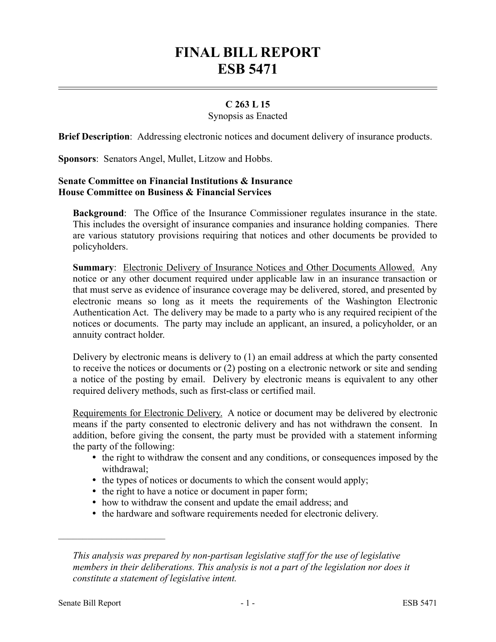# **FINAL BILL REPORT ESB 5471**

## **C 263 L 15**

#### Synopsis as Enacted

**Brief Description**: Addressing electronic notices and document delivery of insurance products.

**Sponsors**: Senators Angel, Mullet, Litzow and Hobbs.

#### **Senate Committee on Financial Institutions & Insurance House Committee on Business & Financial Services**

**Background**: The Office of the Insurance Commissioner regulates insurance in the state. This includes the oversight of insurance companies and insurance holding companies. There are various statutory provisions requiring that notices and other documents be provided to policyholders.

**Summary:** Electronic Delivery of Insurance Notices and Other Documents Allowed. Any notice or any other document required under applicable law in an insurance transaction or that must serve as evidence of insurance coverage may be delivered, stored, and presented by electronic means so long as it meets the requirements of the Washington Electronic Authentication Act. The delivery may be made to a party who is any required recipient of the notices or documents. The party may include an applicant, an insured, a policyholder, or an annuity contract holder.

Delivery by electronic means is delivery to (1) an email address at which the party consented to receive the notices or documents or (2) posting on a electronic network or site and sending a notice of the posting by email. Delivery by electronic means is equivalent to any other required delivery methods, such as first-class or certified mail.

Requirements for Electronic Delivery. A notice or document may be delivered by electronic means if the party consented to electronic delivery and has not withdrawn the consent. In addition, before giving the consent, the party must be provided with a statement informing the party of the following:

- the right to withdraw the consent and any conditions, or consequences imposed by the withdrawal;
- the types of notices or documents to which the consent would apply;
- the right to have a notice or document in paper form;
- how to withdraw the consent and update the email address; and
- the hardware and software requirements needed for electronic delivery.

––––––––––––––––––––––

*This analysis was prepared by non-partisan legislative staff for the use of legislative members in their deliberations. This analysis is not a part of the legislation nor does it constitute a statement of legislative intent.*